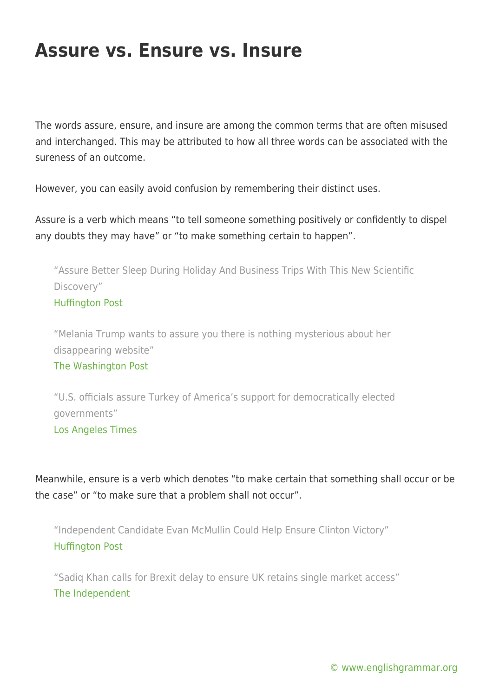## **Assure vs. Ensure vs. Insure**

The words assure, ensure, and insure are among the common terms that are often misused and interchanged. This may be attributed to how all three words can be associated with the sureness of an outcome.

However, you can easily avoid confusion by remembering their distinct uses.

Assure is a verb which means "to tell someone something positively or confidently to dispel any doubts they may have" or "to make something certain to happen".

"Assure Better Sleep During Holiday And Business Trips With This New Scientific Discovery" [Huffington Post](http://www.huffingtonpost.com/rakel-sosa/assure-better-sleep-durin_b_11424552.html)

"Melania Trump wants to assure you there is nothing mysterious about her disappearing website"

## [The Washington Post](https://www.washingtonpost.com/news/the-fix/wp/2016/07/28/melania-trump-wants-to-assure-you-there-is-nothing-mysterious-about-her-disappearing-website/)

"U.S. officials assure Turkey of America's support for democratically elected governments" [Los Angeles Times](http://www.latimes.com/world/europe/la-fg-turkey-anti-american-20160719-snap-story.html)

Meanwhile, ensure is a verb which denotes "to make certain that something shall occur or be the case" or "to make sure that a problem shall not occur".

"Independent Candidate Evan McMullin Could Help Ensure Clinton Victory" [Huffington Post](http://www.huffingtonpost.com/entry/evan-mcmullin-independent-trump-clinton_us_57ace855e4b007c36e4dd6bd)

"Sadiq Khan calls for Brexit delay to ensure UK retains single market access" [The Independent](http://www.independent.co.uk/news/uk/politics/brexit-sadiq-khan-delay-latest-uk-single-market-mayor-london-a7182161.html)